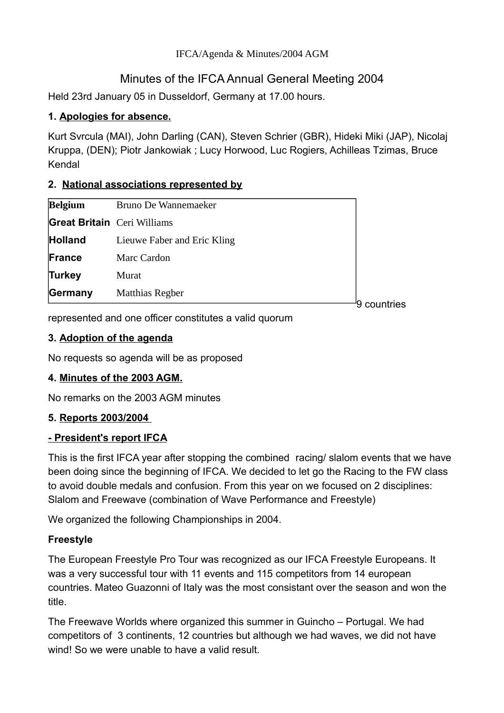#### IFCA/Agenda & Minutes/2004 AGM

# Minutes of the IFCA Annual General Meeting 2004

Held 23rd January 05 in Dusseldorf, Germany at 17.00 hours.

# **1. Apologies for absence.**

Kurt Svrcula (MAI), John Darling (CAN), Steven Schrier (GBR), Hideki Miki (JAP), Nicolaj Kruppa, (DEN); Piotr Jankowiak ; Lucy Horwood, Luc Rogiers, Achilleas Tzimas, Bruce Kendal

### **2. National associations represented by**

|                                    |                             | countries |
|------------------------------------|-----------------------------|-----------|
| Germany                            | Matthias Regber             |           |
| <b>Turkey</b>                      | Murat                       |           |
| France                             | Marc Cardon                 |           |
| <b>Holland</b>                     | Lieuwe Faber and Eric Kling |           |
| <b>Great Britain</b> Ceri Williams |                             |           |
| <b>Belgium</b>                     | Bruno De Wannemaeker        |           |

represented and one officer constitutes a valid quorum

# **3. Adoption of the agenda**

No requests so agenda will be as proposed

# **4. Minutes of the 2003 AGM.**

No remarks on the 2003 AGM minutes

# **5. Reports 2003/2004**

# **- President's report IFCA**

This is the first IFCA year after stopping the combined racing/ slalom events that we have been doing since the beginning of IFCA. We decided to let go the Racing to the FW class to avoid double medals and confusion. From this year on we focused on 2 disciplines: Slalom and Freewave (combination of Wave Performance and Freestyle)

We organized the following Championships in 2004.

# **Freestyle**

The European Freestyle Pro Tour was recognized as our IFCA Freestyle Europeans. It was a very successful tour with 11 events and 115 competitors from 14 european countries. Mateo Guazonni of Italy was the most consistant over the season and won the title.

The Freewave Worlds where organized this summer in Guincho – Portugal. We had competitors of 3 continents, 12 countries but although we had waves, we did not have wind! So we were unable to have a valid result.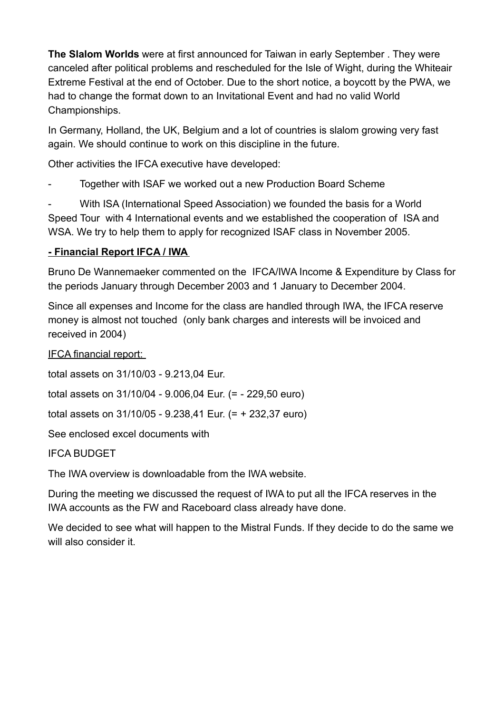**The Slalom Worlds** were at first announced for Taiwan in early September . They were canceled after political problems and rescheduled for the Isle of Wight, during the Whiteair Extreme Festival at the end of October. Due to the short notice, a boycott by the PWA, we had to change the format down to an Invitational Event and had no valid World Championships.

In Germany, Holland, the UK, Belgium and a lot of countries is slalom growing very fast again. We should continue to work on this discipline in the future.

Other activities the IFCA executive have developed:

Together with ISAF we worked out a new Production Board Scheme

With ISA (International Speed Association) we founded the basis for a World Speed Tour with 4 International events and we established the cooperation of ISA and WSA. We try to help them to apply for recognized ISAF class in November 2005.

# **- Financial Report IFCA / IWA**

Bruno De Wannemaeker commented on the IFCA/IWA Income & Expenditure by Class for the periods January through December 2003 and 1 January to December 2004.

Since all expenses and Income for the class are handled through IWA, the IFCA reserve money is almost not touched (only bank charges and interests will be invoiced and received in 2004)

IFCA financial report:

total assets on 31/10/03 - 9.213,04 Eur.

total assets on 31/10/04 - 9.006,04 Eur. (= - 229,50 euro)

total assets on 31/10/05 - 9.238,41 Eur. (= + 232,37 euro)

See enclosed excel documents with

IFCA BUDGET

The IWA overview is downloadable from the IWA website.

During the meeting we discussed the request of IWA to put all the IFCA reserves in the IWA accounts as the FW and Raceboard class already have done.

We decided to see what will happen to the Mistral Funds. If they decide to do the same we will also consider it.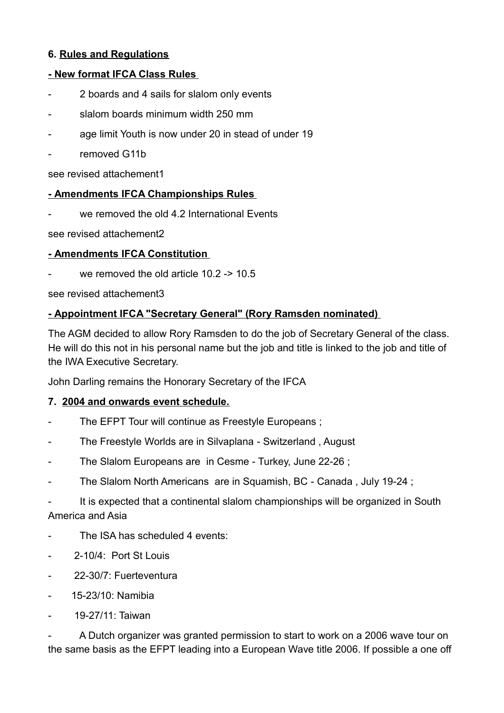### **6. Rules and Regulations**

### **- New format IFCA Class Rules**

- 2 boards and 4 sails for slalom only events
- slalom boards minimum width 250 mm
- age limit Youth is now under 20 in stead of under 19
- removed G11b

see revised attachement1

#### **- Amendments IFCA Championships Rules**

we removed the old 4.2 International Events

see revised attachement2

#### **- Amendments IFCA Constitution**

we removed the old article  $10.2 \div 10.5$ 

see revised attachement3

### **- Appointment IFCA "Secretary General" (Rory Ramsden nominated)**

The AGM decided to allow Rory Ramsden to do the job of Secretary General of the class. He will do this not in his personal name but the job and title is linked to the job and title of the IWA Executive Secretary.

John Darling remains the Honorary Secretary of the IFCA

#### **7. 2004 and onwards event schedule.**

- The EFPT Tour will continue as Freestyle Europeans ;
- The Freestyle Worlds are in Silvaplana Switzerland , August
- The Slalom Europeans are in Cesme Turkey, June 22-26 ;
- The Slalom North Americans are in Squamish, BC Canada, July 19-24;

It is expected that a continental slalom championships will be organized in South America and Asia

- The ISA has scheduled 4 events:
- 2-10/4: Port St Louis
- 22-30/7: Fuerteventura
- 15-23/10: Namibia
- 19-27/11: Taiwan

A Dutch organizer was granted permission to start to work on a 2006 wave tour on the same basis as the EFPT leading into a European Wave title 2006. If possible a one off